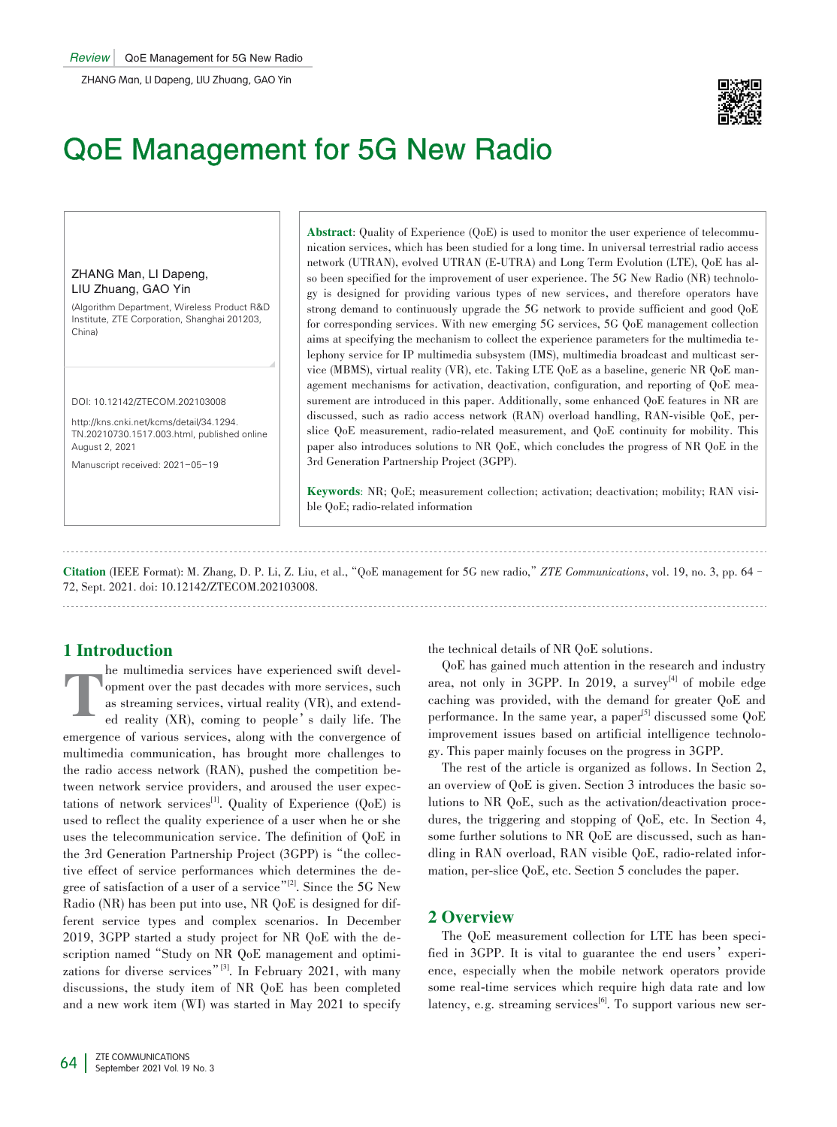

# QoE Management for 5G New Radio

ZHANG Man, LI Dapeng, LIU Zhuang, GAO Yin

(Algorithm Department, Wireless Product R&D Institute, ZTE Corporation, Shanghai 201203, China)

DOI: 10.12142/ZTECOM.202103008

http://kns.cnki.net/kcms/detail/34.1294. TN.20210730.1517.003.html, published online August 2, 2021

Manuscript received: 2021-05-19

Abstract: Quality of Experience (QoE) is used to monitor the user experience of telecommunication services, which has been studied for a long time. In universal terrestrial radio access network (UTRAN), evolved UTRAN (E-UTRA) and Long Term Evolution (LTE), QoE has al‑ so been specified for the improvement of user experience. The 5G New Radio (NR) technology is designed for providing various types of new services, and therefore operators have strong demand to continuously upgrade the 5G network to provide sufficient and good QoE for corresponding services. With new emerging 5G services, 5G QoE management collection aims at specifying the mechanism to collect the experience parameters for the multimedia telephony service for IP multimedia subsystem (IMS), multimedia broadcast and multicast service (MBMS), virtual reality (VR), etc. Taking LTE QoE as a baseline, generic NR QoE man‑ agement mechanisms for activation, deactivation, configuration, and reporting of QoE mea– surement are introduced in this paper. Additionally, some enhanced QoE features in NR are discussed, such as radio access network (RAN) overload handling, RAN-visible QoE, perslice QoE measurement, radio-related measurement, and QoE continuity for mobility. This paper also introduces solutions to NR QoE, which concludes the progress of NR QoE in the 3rd Generation Partnership Project (3GPP).

Keywords: NR; QoE; measurement collection; activation; deactivation; mobility; RAN visible QoE; radio‑related information

Citation (IEEE Format): M. Zhang, D. P. Li, Z. Liu, et al.,"QoE management for 5G new radio,"*ZTE Communications*, vol. 19, no. 3, pp. 64– 72, Sept. 2021. doi: 10.12142/ZTECOM.202103008.

# 1 Introduction

T he multimedia services have experienced swift development over the past decades with more services, such as streaming services, virtual reality (VR), and extended reality (XR), coming to people's daily life. The emergence of various services, along with the convergence of multimedia communication, has brought more challenges to the radio access network (RAN), pushed the competition between network service providers, and aroused the user expectations of network services<sup>[1]</sup>. Quality of Experience (QoE) is used to reflect the quality experience of a user when he or she uses the telecommunication service. The definition of QoE in the 3rd Generation Partnership Project (3GPP) is "the collective effect of service performances which determines the degree of satisfaction of a user of a service"<sup>[2]</sup>. Since the 5G New Radio (NR) has been put into use, NR QoE is designed for different service types and complex scenarios. In December 2019, 3GPP started a study project for NR QoE with the de‑ scription named "Study on NR QoE management and optimizations for diverse services<sup>"[3]</sup>. In February 2021, with many discussions, the study item of NR QoE has been completed and a new work item (WI) was started in May 2021 to specify the technical details of NR QoE solutions.

QoE has gained much attention in the research and industry area, not only in 3GPP. In 2019, a survey<sup>[4]</sup> of mobile edge caching was provided, with the demand for greater QoE and performance. In the same year, a paper<sup>[5]</sup> discussed some  $QoE$ improvement issues based on artificial intelligence technology. This paper mainly focuses on the progress in 3GPP.

The rest of the article is organized as follows. In Section 2, an overview of  $OoE$  is given. Section 3 introduces the basic solutions to NR QoE, such as the activation/deactivation procedures, the triggering and stopping of QoE, etc. In Section 4, some further solutions to NR QoE are discussed, such as handling in RAN overload, RAN visible QoE, radio-related information, per-slice QoE, etc. Section 5 concludes the paper.

# 2 Overview

The QoE measurement collection for LTE has been specified in 3GPP. It is vital to guarantee the end users' experience, especially when the mobile network operators provide some real-time services which require high data rate and low latency, e.g. streaming services<sup>[6]</sup>. To support various new ser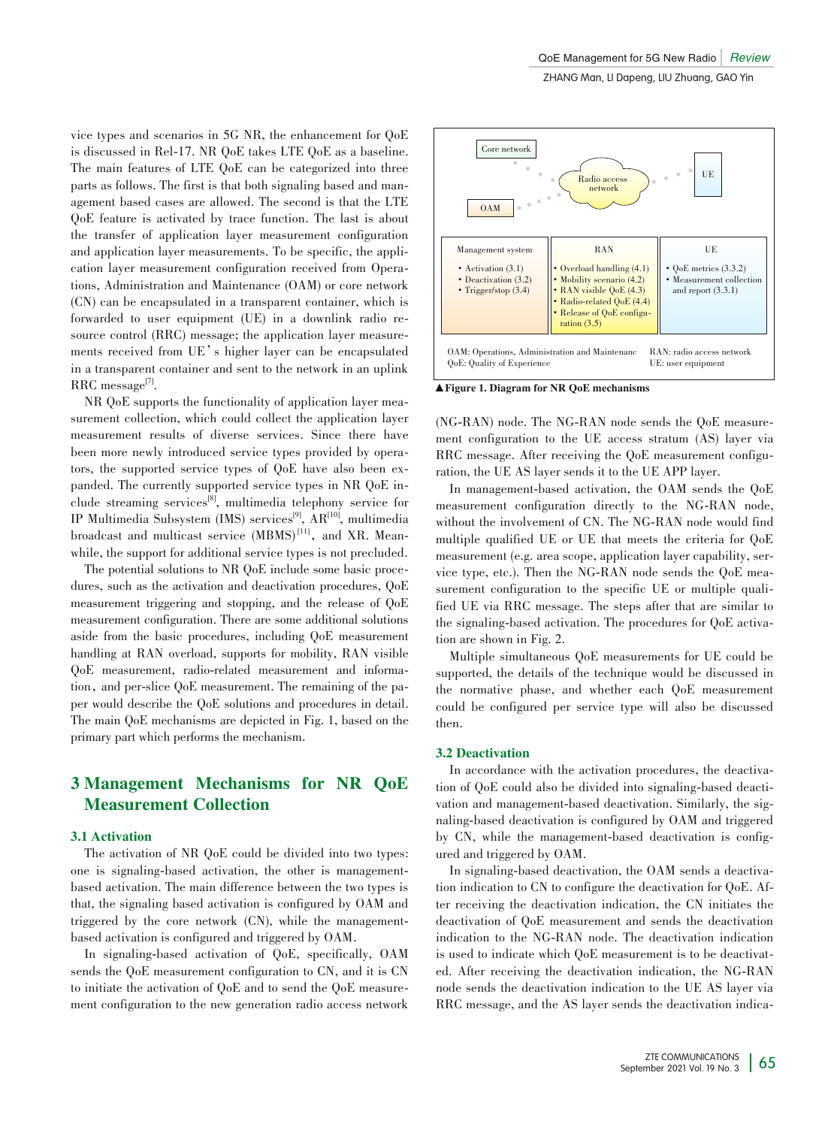vice types and scenarios in 5G NR, the enhancement for QoE is discussed in Rel-17. NR QoE takes LTE QoE as a baseline. The main features of LTE QoE can be categorized into three parts as follows. The first is that both signaling based and management based cases are allowed. The second is that the LTE QoE feature is activated by trace function. The last is about the transfer of application layer measurement configuration and application layer measurements. To be specific, the application layer measurement configuration received from Operations, Administration and Maintenance (OAM) or core network (CN) can be encapsulated in a transparent container, which is forwarded to user equipment (UE) in a downlink radio resource control (RRC) message; the application layer measure– ments received from UE's higher layer can be encapsulated in a transparent container and sent to the network in an uplink  $RRC$  message<sup>[7]</sup>.

NR QoE supports the functionality of application layer measurement collection, which could collect the application layer measurement results of diverse services. Since there have been more newly introduced service types provided by operators, the supported service types of QoE have also been expanded. The currently supported service types in NR QoE include streaming services<sup>[8]</sup>, multimedia telephony service for IP Multimedia Subsystem (IMS) services<sup>[9]</sup>, AR<sup>[10]</sup>, multimedia broadcast and multicast service (MBMS)<sup>[11]</sup>, and XR. Meanwhile, the support for additional service types is not precluded.

The potential solutions to NR QoE include some basic procedures, such as the activation and deactivation procedures, QoE measurement triggering and stopping, and the release of QoE measurement configuration. There are some additional solutions aside from the basic procedures, including QoE measurement handling at RAN overload, supports for mobility, RAN visible QoE measurement, radio-related measurement and information, and per-slice QoE measurement. The remaining of the paper would describe the QoE solutions and procedures in detail. The main QoE mechanisms are depicted in Fig. 1, based on the primary part which performs the mechanism.

# 3 Management Mechanisms for NR QoE Measurement Collection

#### 3.1 Activation

The activation of NR QoE could be divided into two types: one is signaling-based activation, the other is managementbased activation. The main difference between the two types is that, the signaling based activation is configured by OAM and triggered by the core network (CN), while the managementbased activation is configured and triggered by OAM.

In signaling-based activation of QoE, specifically, OAM sends the QoE measurement configuration to CN, and it is CN to initiate the activation of OoE and to send the OoE measurement configuration to the new generation radio access network



▲Figure 1. Diagram for NR QoE mechanisms

(NG-RAN) node. The NG-RAN node sends the QoE measure‑ ment configuration to the UE access stratum (AS) layer via RRC message. After receiving the QoE measurement configuration, the UE AS layer sends it to the UE APP layer.

In management-based activation, the OAM sends the QoE measurement configuration directly to the NG-RAN node, without the involvement of CN. The NG-RAN node would find multiple qualified UE or UE that meets the criteria for QoE measurement (e.g. area scope, application layer capability, service type, etc.). Then the NG-RAN node sends the QoE measurement configuration to the specific UE or multiple qualified UE via RRC message. The steps after that are similar to the signaling-based activation. The procedures for QoE activation are shown in Fig. 2.

Multiple simultaneous QoE measurements for UE could be supported, the details of the technique would be discussed in the normative phase, and whether each QoE measurement could be configured per service type will also be discussed then.

# 3.2 Deactivation

In accordance with the activation procedures, the deactivation of QoE could also be divided into signaling-based deactivation and management-based deactivation. Similarly, the signaling-based deactivation is configured by OAM and triggered by CN, while the management-based deactivation is configured and triggered by OAM.

In signaling-based deactivation, the OAM sends a deactivation indication to CN to configure the deactivation for OoE. After receiving the deactivation indication, the CN initiates the deactivation of QoE measurement and sends the deactivation indication to the NG-RAN node. The deactivation indication is used to indicate which QoE measurement is to be deactivated. After receiving the deactivation indication, the NG-RAN node sends the deactivation indication to the UE AS layer via RRC message, and the AS layer sends the deactivation indica-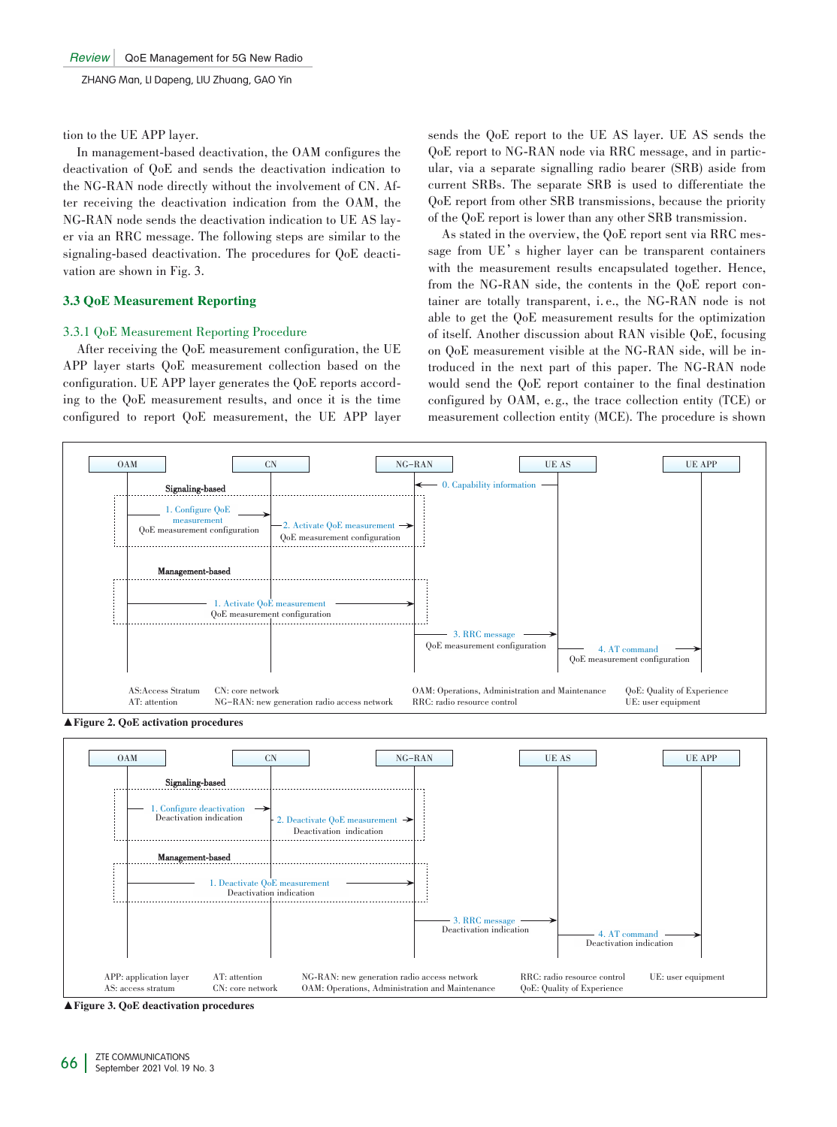tion to the UE APP layer.

In management-based deactivation, the OAM configures the deactivation of QoE and sends the deactivation indication to the NG-RAN node directly without the involvement of CN. After receiving the deactivation indication from the OAM, the NG-RAN node sends the deactivation indication to UE AS lay– er via an RRC message. The following steps are similar to the signaling-based deactivation. The procedures for QoE deactivation are shown in Fig. 3.

# 3.3 QoE Measurement Reporting

## 3.3.1 QoE Measurement Reporting Procedure

After receiving the QoE measurement configuration, the UE APP layer starts QoE measurement collection based on the configuration. UE APP layer generates the QoE reports according to the QoE measurement results, and once it is the time configured to report QoE measurement, the UE APP layer

sends the QoE report to the UE AS layer. UE AS sends the QoE report to NG-RAN node via RRC message, and in particular, via a separate signalling radio bearer (SRB) aside from current SRBs. The separate SRB is used to differentiate the QoE report from other SRB transmissions, because the priority of the QoE report is lower than any other SRB transmission.

As stated in the overview, the QoE report sent via RRC message from UE's higher layer can be transparent containers with the measurement results encapsulated together. Hence, from the NG-RAN side, the contents in the QoE report container are totally transparent, i. e., the NG-RAN node is not able to get the QoE measurement results for the optimization of itself. Another discussion about RAN visible QoE, focusing on QoE measurement visible at the NG-RAN side, will be introduced in the next part of this paper. The NG-RAN node would send the QoE report container to the final destination configured by OAM, e. g., the trace collection entity (TCE) or measurement collection entity (MCE). The procedure is shown





▲Figure 3. QoE deactivation procedures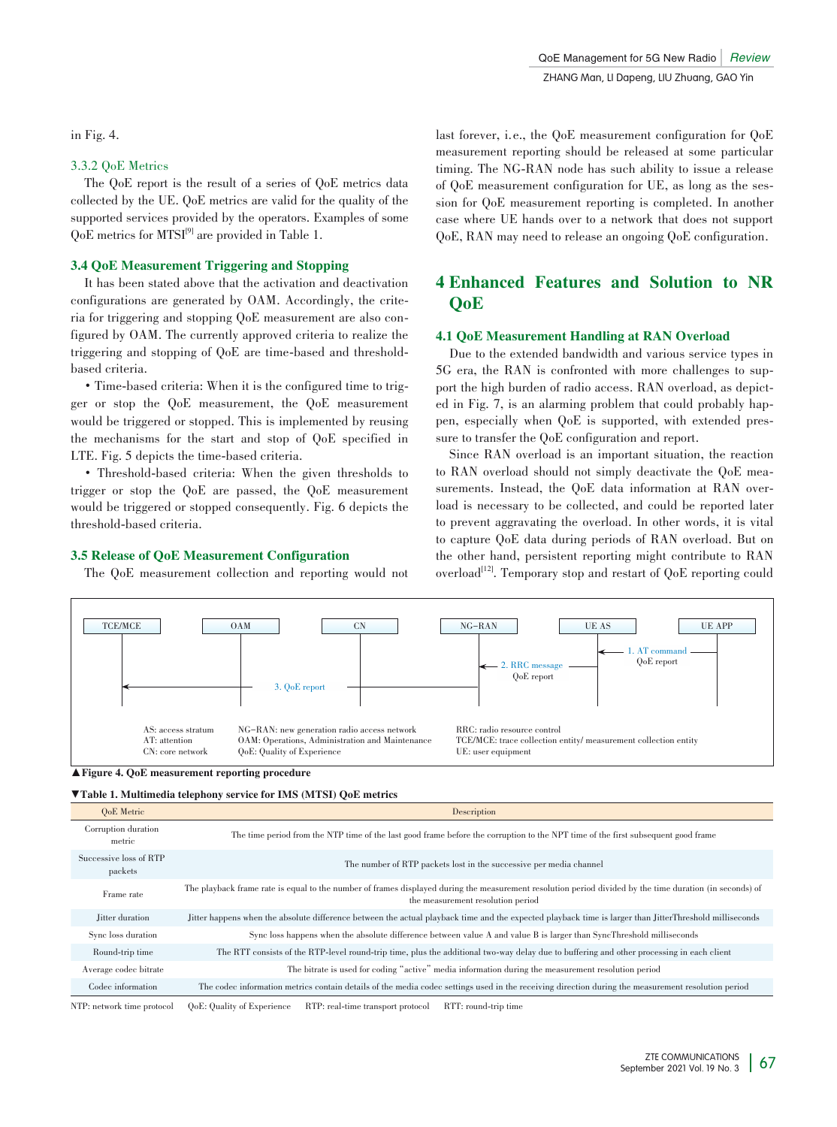in Fig. 4.

# 3.3.2 QoE Metrics

The QoE report is the result of a series of QoE metrics data collected by the UE. QoE metrics are valid for the quality of the supported services provided by the operators. Examples of some QoE metrics for MTSI<sup>[9]</sup> are provided in Table 1.

# 3.4 QoE Measurement Triggering and Stopping

It has been stated above that the activation and deactivation configurations are generated by OAM. Accordingly, the criteria for triggering and stopping QoE measurement are also configured by OAM. The currently approved criteria to realize the triggering and stopping of QoE are time-based and thresholdbased criteria.

• Time-based criteria: When it is the configured time to trigger or stop the QoE measurement, the QoE measurement would be triggered or stopped. This is implemented by reusing the mechanisms for the start and stop of QoE specified in LTE. Fig. 5 depicts the time-based criteria.

• Threshold-based criteria: When the given thresholds to trigger or stop the QoE are passed, the QoE measurement would be triggered or stopped consequently. Fig. 6 depicts the threshold-based criteria.

# 3.5 Release of QoE Measurement Configuration

The QoE measurement collection and reporting would not

last forever, i.e., the QoE measurement configuration for QoE measurement reporting should be released at some particular timing. The NG-RAN node has such ability to issue a release of QoE measurement configuration for UE, as long as the session for QoE measurement reporting is completed. In another case where UE hands over to a network that does not support QoE, RAN may need to release an ongoing QoE configuration.

# 4 Enhanced Features and Solution to NR QoE

# 4.1 QoE Measurement Handling at RAN Overload

Due to the extended bandwidth and various service types in 5G era, the RAN is confronted with more challenges to support the high burden of radio access. RAN overload, as depicted in Fig. 7, is an alarming problem that could probably happen, especially when  $QoE$  is supported, with extended pressure to transfer the QoE configuration and report.

Since RAN overload is an important situation, the reaction to RAN overload should not simply deactivate the QoE measurements. Instead, the QoE data information at RAN overload is necessary to be collected, and could be reported later to prevent aggravating the overload. In other words, it is vital to capture QoE data during periods of RAN overload. But on the other hand, persistent reporting might contribute to RAN overload<sup>[12]</sup>. Temporary stop and restart of QoE reporting could



<sup>▲</sup> Figure 4. QoE measurement reporting procedure

| <b>VTable 1. Multimedia telephony service for IMS (MTSI) QoE metrics</b> |                                                                                                                                                                                               |
|--------------------------------------------------------------------------|-----------------------------------------------------------------------------------------------------------------------------------------------------------------------------------------------|
| OoE Metric                                                               | Description                                                                                                                                                                                   |
| Corruption duration<br>metric                                            | The time period from the NTP time of the last good frame before the corruption to the NPT time of the first subsequent good frame                                                             |
| Successive loss of RTP<br>packets                                        | The number of RTP packets lost in the successive per media channel                                                                                                                            |
| Frame rate                                                               | The playback frame rate is equal to the number of frames displayed during the measurement resolution period divided by the time duration (in seconds) of<br>the measurement resolution period |
| Jitter duration                                                          | Jitter happens when the absolute difference between the actual playback time and the expected playback time is larger than JitterThreshold milliseconds                                       |
| Sync loss duration                                                       | Sync loss happens when the absolute difference between value A and value B is larger than SyncThreshold milliseconds                                                                          |
| Round-trip time                                                          | The RTT consists of the RTP-level round-trip time, plus the additional two-way delay due to buffering and other processing in each client                                                     |
| Average codec bitrate                                                    | The bitrate is used for coding "active" media information during the measurement resolution period                                                                                            |
| Codec information                                                        | The codec information metrics contain details of the media codec settings used in the receiving direction during the measurement resolution period                                            |
| NTP: network time protocol                                               | QoE: Quality of Experience<br>RTT: round-trip time<br>RTP: real-time transport protocol                                                                                                       |

ZTE COMMUNICATIONS September 2021 Vol. 19 No. 3 67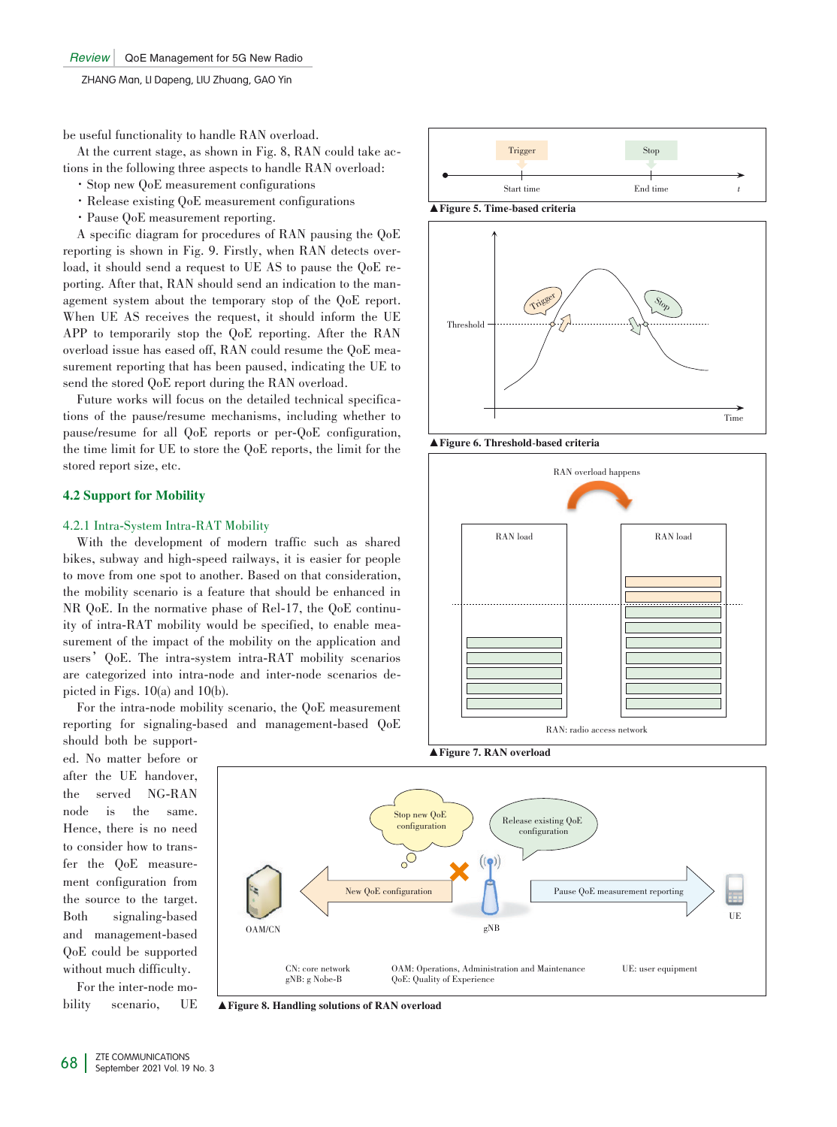be useful functionality to handle RAN overload.

At the current stage, as shown in Fig. 8, RAN could take actions in the following three aspects to handle RAN overload:

- ·Stop new QoE measurement configurations
- ·Release existing QoE measurement configurations
- ·Pause QoE measurement reporting.

A specific diagram for procedures of RAN pausing the QoE reporting is shown in Fig. 9. Firstly, when RAN detects overload, it should send a request to UE AS to pause the QoE reporting. After that, RAN should send an indication to the management system about the temporary stop of the QoE report. When UE AS receives the request, it should inform the UE APP to temporarily stop the QoE reporting. After the RAN overload issue has eased off, RAN could resume the QoE measurement reporting that has been paused, indicating the UE to send the stored QoE report during the RAN overload.

Future works will focus on the detailed technical specifications of the pause/resume mechanisms, including whether to pause/resume for all QoE reports or per-QoE configuration, the time limit for UE to store the QoE reports, the limit for the stored report size, etc.

## 4.2 Support for Mobility

## 4.2.1 Intra-System Intra-RAT Mobility

With the development of modern traffic such as shared bikes, subway and high-speed railways, it is easier for people to move from one spot to another. Based on that consideration, the mobility scenario is a feature that should be enhanced in NR QoE. In the normative phase of Rel-17, the QoE continuity of intra-RAT mobility would be specified, to enable measurement of the impact of the mobility on the application and users'QoE. The intra-system intra-RAT mobility scenarios are categorized into intra-node and inter-node scenarios depicted in Figs. 10(a) and 10(b).

For the intra-node mobility scenario, the QoE measurement reporting for signaling-based and management-based QoE should both be support-

ed. No matter before or after the UE handover, the served NG-RAN node is the same. Hence, there is no need to consider how to transfer the OoE measurement configuration from the source to the target. Both signaling-based and management-based QoE could be supported without much difficulty.

For the inter-node mobility scenario, UE





▲Figure 6. Threshold-based criteria





▲Figure 8. Handling solutions of RAN overload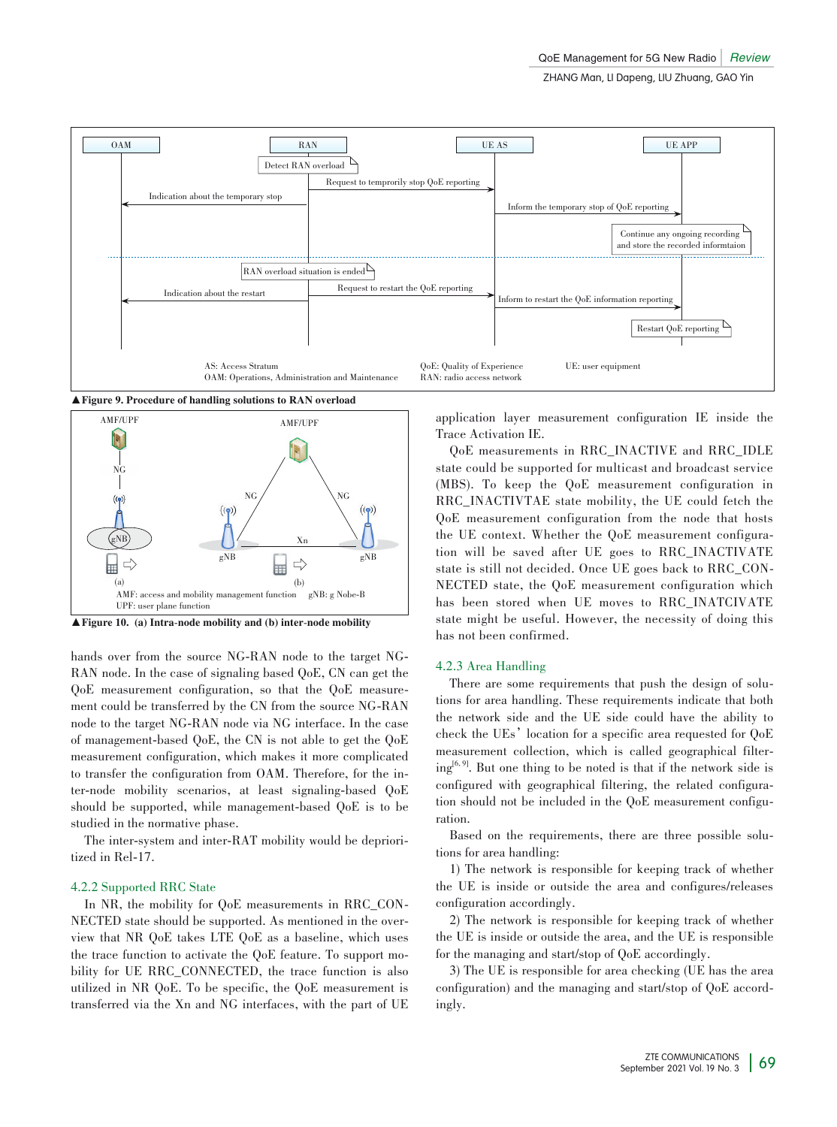

▲ Figure 9. Procedure of handling solutions to RAN overload



▲Figure 10. (a) Intra-node mobility and (b) inter-node mobility

hands over from the source NG-RAN node to the target NG-RAN node. In the case of signaling based QoE, CN can get the QoE measurement configuration, so that the QoE measurement could be transferred by the CN from the source NG-RAN node to the target NG-RAN node via NG interface. In the case of management-based QoE, the CN is not able to get the QoE measurement configuration, which makes it more complicated to transfer the configuration from OAM. Therefore, for the inter-node mobility scenarios, at least signaling-based QoE should be supported, while management-based QoE is to be studied in the normative phase.

The inter-system and inter-RAT mobility would be deprioritized in Rel-17.

#### 4.2.2 Supported RRC State

In NR, the mobility for QoE measurements in RRC\_CON-NECTED state should be supported. As mentioned in the overview that NR QoE takes LTE QoE as a baseline, which uses the trace function to activate the QoE feature. To support mobility for UE RRC\_CONNECTED, the trace function is also utilized in NR QoE. To be specific, the QoE measurement is transferred via the Xn and NG interfaces, with the part of UE application layer measurement configuration IE inside the Trace Activation IE.

QoE measurements in RRC\_INACTIVE and RRC\_IDLE state could be supported for multicast and broadcast service (MBS). To keep the QoE measurement configuration in RRC\_INACTIVTAE state mobility, the UE could fetch the QoE measurement configuration from the node that hosts the UE context. Whether the QoE measurement configuration will be saved after UE goes to RRC\_INACTIVATE state is still not decided. Once UE goes back to RRC\_CON-NECTED state, the QoE measurement configuration which has been stored when UE moves to RRC\_INATCIVATE state might be useful. However, the necessity of doing this has not been confirmed.

#### 4.2.3 Area Handling

There are some requirements that push the design of solutions for area handling. These requirements indicate that both the network side and the UE side could have the ability to check the UEs' location for a specific area requested for QoE measurement collection, which is called geographical filter $ing^{[6, 9]}$ . But one thing to be noted is that if the network side is configured with geographical filtering, the related configuration should not be included in the QoE measurement configuration.

Based on the requirements, there are three possible solutions for area handling:

1) The network is responsible for keeping track of whether the UE is inside or outside the area and configures/releases configuration accordingly.

2) The network is responsible for keeping track of whether the UE is inside or outside the area, and the UE is responsible for the managing and start/stop of QoE accordingly.

3) The UE is responsible for area checking (UE has the area configuration) and the managing and start/stop of QoE accordingly.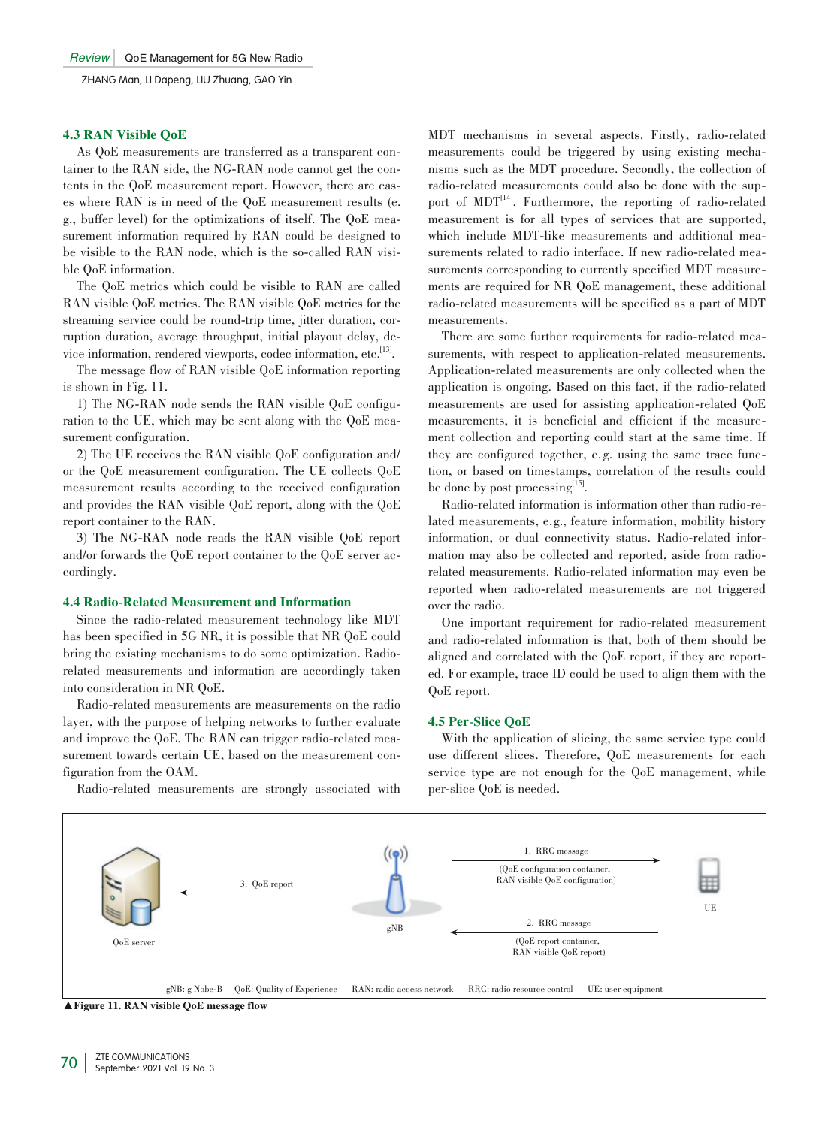## 4.3 RAN Visible QoE

As QoE measurements are transferred as a transparent container to the RAN side, the NG-RAN node cannot get the contents in the QoE measurement report. However, there are cases where RAN is in need of the QoE measurement results (e. g., buffer level) for the optimizations of itself. The QoE measurement information required by RAN could be designed to be visible to the RAN node, which is the so-called RAN visible QoE information.

The QoE metrics which could be visible to RAN are called RAN visible QoE metrics. The RAN visible QoE metrics for the streaming service could be round-trip time, jitter duration, corruption duration, average throughput, initial playout delay, device information, rendered viewports, codec information, etc.<sup>[13]</sup>.

The message flow of RAN visible QoE information reporting is shown in Fig. 11.

1) The NG-RAN node sends the RAN visible  $QoE$  configuration to the UE, which may be sent along with the QoE measurement configuration.

2) The UE receives the RAN visible QoE configuration and/ or the QoE measurement configuration. The UE collects QoE measurement results according to the received configuration and provides the RAN visible QoE report, along with the QoE report container to the RAN.

3) The NG-RAN node reads the RAN visible QoE report and/or forwards the QoE report container to the QoE server accordingly.

## 4.4 Radio-Related Measurement and Information

Since the radio-related measurement technology like MDT has been specified in 5G NR, it is possible that NR QoE could bring the existing mechanisms to do some optimization. Radiorelated measurements and information are accordingly taken into consideration in NR QoE.

Radio-related measurements are measurements on the radio layer, with the purpose of helping networks to further evaluate and improve the QoE. The RAN can trigger radio-related measurement towards certain UE, based on the measurement configuration from the OAM.

Radio-related measurements are strongly associated with

MDT mechanisms in several aspects. Firstly, radio-related measurements could be triggered by using existing mechanisms such as the MDT procedure. Secondly, the collection of radio-related measurements could also be done with the support of MDT<sup>[14]</sup>. Furthermore, the reporting of radio-related measurement is for all types of services that are supported, which include MDT-like measurements and additional measurements related to radio interface. If new radio-related measurements corresponding to currently specified MDT measurements are required for NR QoE management, these additional radio-related measurements will be specified as a part of MDT measurements.

There are some further requirements for radio-related measurements, with respect to application-related measurements. Application-related measurements are only collected when the application is ongoing. Based on this fact, if the radio-related measurements are used for assisting application-related QoE measurements, it is beneficial and efficient if the measurement collection and reporting could start at the same time. If they are configured together, e.g. using the same trace function, or based on timestamps, correlation of the results could be done by post processing<sup>[15]</sup>.

Radio-related information is information other than radio-related measurements, e.g., feature information, mobility history information, or dual connectivity status. Radio-related information may also be collected and reported, aside from radiorelated measurements. Radio-related information may even be reported when radio-related measurements are not triggered over the radio.

One important requirement for radio-related measurement and radio-related information is that, both of them should be aligned and correlated with the QoE report, if they are reported. For example, trace ID could be used to align them with the QoE report.

## 4.5 Per-Slice QoE

With the application of slicing, the same service type could use different slices. Therefore, QoE measurements for each service type are not enough for the QoE management, while per-slice QoE is needed.



▲Figure 11. RAN visible QoE message flow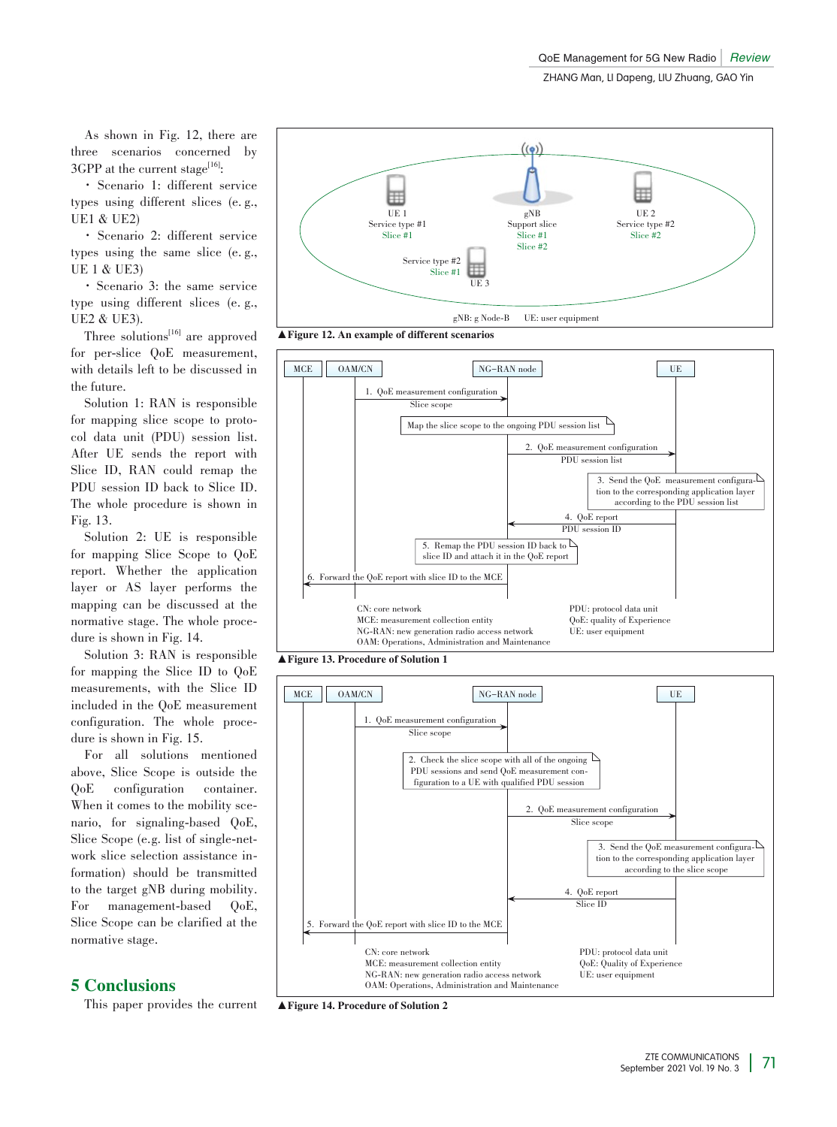As shown in Fig. 12, there are three scenarios concerned by  $3GPP$  at the current stage<sup>[16]</sup>:

· Scenario 1: different service types using different slices (e. g., UE1 & UE2)

· Scenario 2: different service types using the same slice (e. g., UE 1 & UE3)

· Scenario 3: the same service type using different slices (e. g., UE2 & UE3).

Three solutions $^{[16]}$  are approved for per-slice QoE measurement, with details left to be discussed in the future.

Solution 1: RAN is responsible for mapping slice scope to protocol data unit (PDU) session list. After UE sends the report with Slice ID, RAN could remap the PDU session ID back to Slice ID. The whole procedure is shown in Fig. 13.

Solution 2: UE is responsible for mapping Slice Scope to QoE report. Whether the application layer or AS layer performs the mapping can be discussed at the normative stage. The whole procedure is shown in Fig. 14.

Solution 3: RAN is responsible for mapping the Slice ID to QoE measurements, with the Slice ID included in the QoE measurement configuration. The whole procedure is shown in Fig. 15.

For all solutions mentioned above, Slice Scope is outside the<br>QoE configuration container. configuration container. When it comes to the mobility scenario, for signaling-based QoE, Slice Scope (e.g. list of single-network slice selection assistance in‑ formation) should be transmitted to the target gNB during mobility. For management-based QoE, Slice Scope can be clarified at the normative stage.

# 5 Conclusions

This paper provides the current



▲ Figure 12. An example of different scenarios



▲Figure 13. Procedure of Solution 1



▲ Figure 14. Procedure of Solution 2